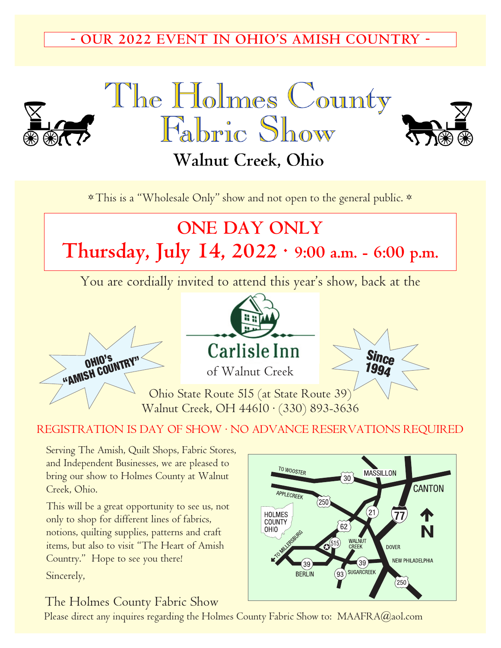## **- OUR 2022 EVENT IN OHIO'S AMISH COUNTRY -**







# Walnut Creek, Ohio

\* This is a "Wholesale Only" show and not open to the general public. \*

# **ONE DAY ONLY Thursday, July 14, 2022 · 9:00 a.m. - 6:00 p.m.**

You are cordially invited to attend this year's show, back at the







Ohio State Route 5l5 (at State Route 39) Walnut Creek, OH 446l0 · (330) 893-3636

#### REGISTRATION IS DAY OF SHOW · NO ADVANCE RESERVATIONS REQUIRED

Serving The Amish, Quilt Shops, Fabric Stores, and Independent Businesses, we are pleased to bring our show to Holmes County at Walnut Creek, Ohio.

This will be a great opportunity to see us, not only to shop for different lines of fabrics, notions, quilting supplies, patterns and craft items, but also to visit "The Heart of Amish Country." Hope to see you there!

Sincerely,

## The Holmes County Fabric Show

Please direct any inquires regarding the Holmes County Fabric Show to: MAAFRA@aol.com